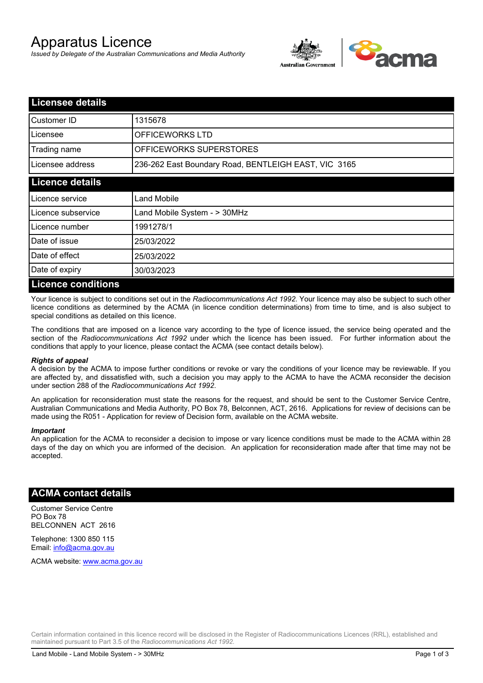# Apparatus Licence

*Issued by Delegate of the Australian Communications and Media Authority*



| <b>Licensee details</b>   |                                                      |  |  |  |
|---------------------------|------------------------------------------------------|--|--|--|
| Customer ID               | 1315678                                              |  |  |  |
| Licensee                  | OFFICEWORKS LTD                                      |  |  |  |
| Trading name              | OFFICEWORKS SUPERSTORES                              |  |  |  |
| Licensee address          | 236-262 East Boundary Road, BENTLEIGH EAST, VIC 3165 |  |  |  |
| <b>Licence details</b>    |                                                      |  |  |  |
| Licence service           | Land Mobile                                          |  |  |  |
| Licence subservice        | Land Mobile System - > 30MHz                         |  |  |  |
| Licence number            | 1991278/1                                            |  |  |  |
| Date of issue             | 25/03/2022                                           |  |  |  |
| Date of effect            | 25/03/2022                                           |  |  |  |
| Date of expiry            | 30/03/2023                                           |  |  |  |
| <b>Licence conditions</b> |                                                      |  |  |  |

Your licence is subject to conditions set out in the *Radiocommunications Act 1992*. Your licence may also be subject to such other licence conditions as determined by the ACMA (in licence condition determinations) from time to time, and is also subject to special conditions as detailed on this licence.

The conditions that are imposed on a licence vary according to the type of licence issued, the service being operated and the section of the *Radiocommunications Act 1992* under which the licence has been issued. For further information about the conditions that apply to your licence, please contact the ACMA (see contact details below).

#### *Rights of appeal*

A decision by the ACMA to impose further conditions or revoke or vary the conditions of your licence may be reviewable. If you are affected by, and dissatisfied with, such a decision you may apply to the ACMA to have the ACMA reconsider the decision under section 288 of the *Radiocommunications Act 1992*.

An application for reconsideration must state the reasons for the request, and should be sent to the Customer Service Centre, Australian Communications and Media Authority, PO Box 78, Belconnen, ACT, 2616. Applications for review of decisions can be made using the R051 - Application for review of Decision form, available on the ACMA website.

#### *Important*

An application for the ACMA to reconsider a decision to impose or vary licence conditions must be made to the ACMA within 28 days of the day on which you are informed of the decision. An application for reconsideration made after that time may not be accepted.

### **ACMA contact details**

Customer Service Centre PO Box 78 BELCONNEN ACT 2616

Telephone: 1300 850 115 Email: info@acma.gov.au

ACMA website: www.acma.gov.au

Certain information contained in this licence record will be disclosed in the Register of Radiocommunications Licences (RRL), established and maintained pursuant to Part 3.5 of the *Radiocommunications Act 1992.*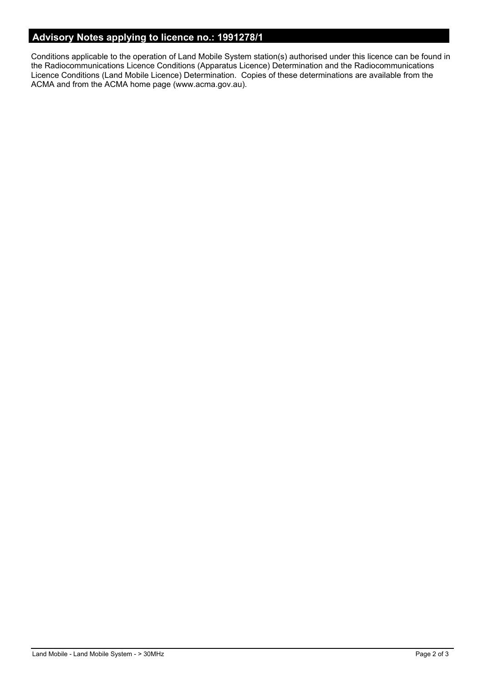## **Advisory Notes applying to licence no.: 1991278/1**

Conditions applicable to the operation of Land Mobile System station(s) authorised under this licence can be found in the Radiocommunications Licence Conditions (Apparatus Licence) Determination and the Radiocommunications Licence Conditions (Land Mobile Licence) Determination. Copies of these determinations are available from the ACMA and from the ACMA home page (www.acma.gov.au).